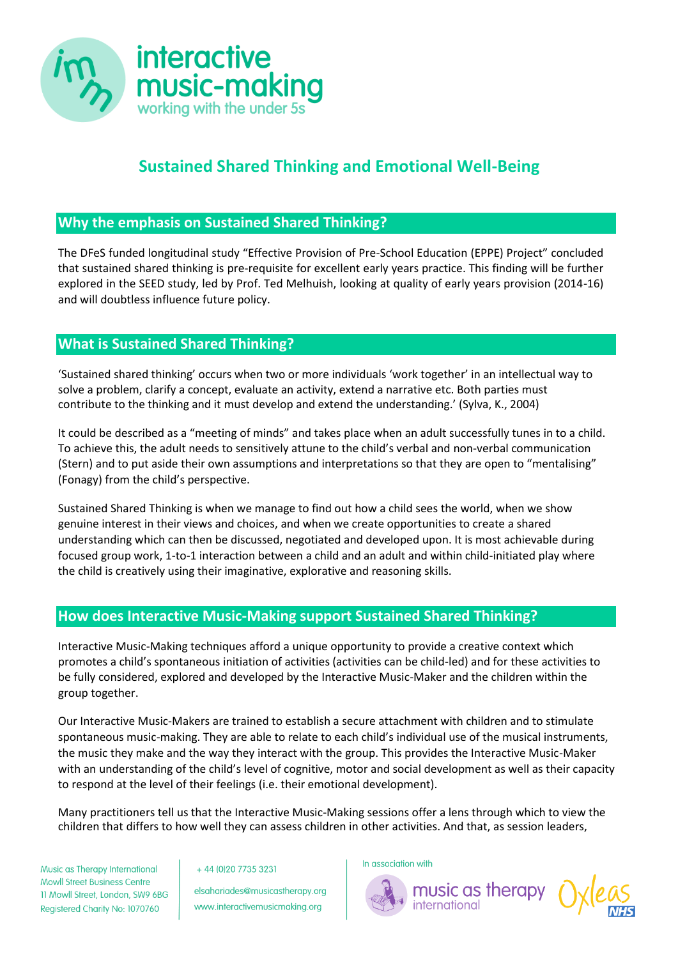

## **Sustained Shared Thinking and Emotional Well-Being**

## **Why the emphasis on Sustained Shared Thinking?**

The DFeS funded longitudinal study "Effective Provision of Pre-School Education (EPPE) Project" concluded that sustained shared thinking is pre-requisite for excellent early years practice. This finding will be further explored in the SEED study, led by Prof. Ted Melhuish, looking at quality of early years provision (2014-16) and will doubtless influence future policy.

## **What is Sustained Shared Thinking?**

'Sustained shared thinking' occurs when two or more individuals 'work together' in an intellectual way to solve a problem, clarify a concept, evaluate an activity, extend a narrative etc. Both parties must contribute to the thinking and it must develop and extend the understanding.' (Sylva, K., 2004)

It could be described as a "meeting of minds" and takes place when an adult successfully tunes in to a child. To achieve this, the adult needs to sensitively attune to the child's verbal and non-verbal communication (Stern) and to put aside their own assumptions and interpretations so that they are open to "mentalising" (Fonagy) from the child's perspective.

Sustained Shared Thinking is when we manage to find out how a child sees the world, when we show genuine interest in their views and choices, and when we create opportunities to create a shared understanding which can then be discussed, negotiated and developed upon. It is most achievable during focused group work, 1-to-1 interaction between a child and an adult and within child-initiated play where the child is creatively using their imaginative, explorative and reasoning skills.

## **How does Interactive Music-Making support Sustained Shared Thinking?**

Interactive Music-Making techniques afford a unique opportunity to provide a creative context which promotes a child's spontaneous initiation of activities (activities can be child-led) and for these activities to be fully considered, explored and developed by the Interactive Music-Maker and the children within the group together.

Our Interactive Music-Makers are trained to establish a secure attachment with children and to stimulate spontaneous music-making. They are able to relate to each child's individual use of the musical instruments, the music they make and the way they interact with the group. This provides the Interactive Music-Maker with an understanding of the child's level of cognitive, motor and social development as well as their capacity to respond at the level of their feelings (i.e. their emotional development).

Many practitioners tell us that the Interactive Music-Making sessions offer a lens through which to view the children that differs to how well they can assess children in other activities. And that, as session leaders,

Music as Therapy International **Mowll Street Business Centre** 11 Mowll Street, London, SW9 6BG Registered Charity No: 1070760

+44 (0) 20 7735 3231

elsahariades@musicastherapy.org www.interactivemusicmaking.org

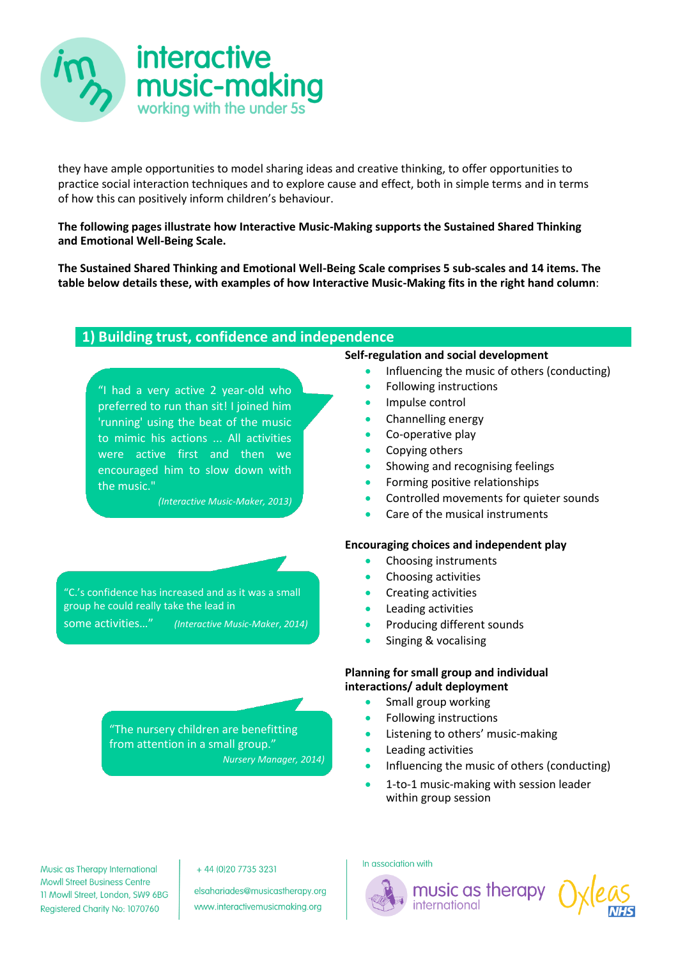

they have ample opportunities to model sharing ideas and creative thinking, to offer opportunities to practice social interaction techniques and to explore cause and effect, both in simple terms and in terms of how this can positively inform children's behaviour.

**The following pages illustrate how Interactive Music-Making supports the Sustained Shared Thinking and Emotional Well-Being Scale.**

**The Sustained Shared Thinking and Emotional Well-Being Scale comprises 5 sub-scales and 14 items. The table below details these, with examples of how Interactive Music-Making fits in the right hand column**:

## **1) Building trust, confidence and independence**

"I had a very active 2 year-old who preferred to run than sit! I joined him 'running' using the beat of the music to mimic his actions ... All activities were active first and then we encouraged him to slow down with the music."

*(Interactive Music-Maker, 2013)*

"C.'s confidence has increased and as it was a small group he could really take the lead in some activities…" *(Interactive Music-Maker*, *2014)*

> "The nursery children are benefitting from attention in a small group." *Nursery Manager, 2014)*

#### **Self-regulation and social development**

- Influencing the music of others (conducting)
- Following instructions
- Impulse control
- Channelling energy
- Co-operative play
- Copying others
- Showing and recognising feelings
- Forming positive relationships
- Controlled movements for quieter sounds
- Care of the musical instruments

#### **Encouraging choices and independent play**

- Choosing instruments
- Choosing activities
- Creating activities
- Leading activities
- Producing different sounds
- **Singing & vocalising**

#### **Planning for small group and individual interactions/ adult deployment**

- Small group working
- Following instructions
- Listening to others' music-making
- Leading activities
- Influencing the music of others (conducting)
- **1-to-1 music-making with session leader** within group session

Music as Therapy International **Mowll Street Business Centre** 11 Mowll Street, London, SW9 6BG Registered Charity No: 1070760

#### +44 (0) 20 7735 3231

elsahariades@musicastherapy.org www.interactivemusicmaking.org



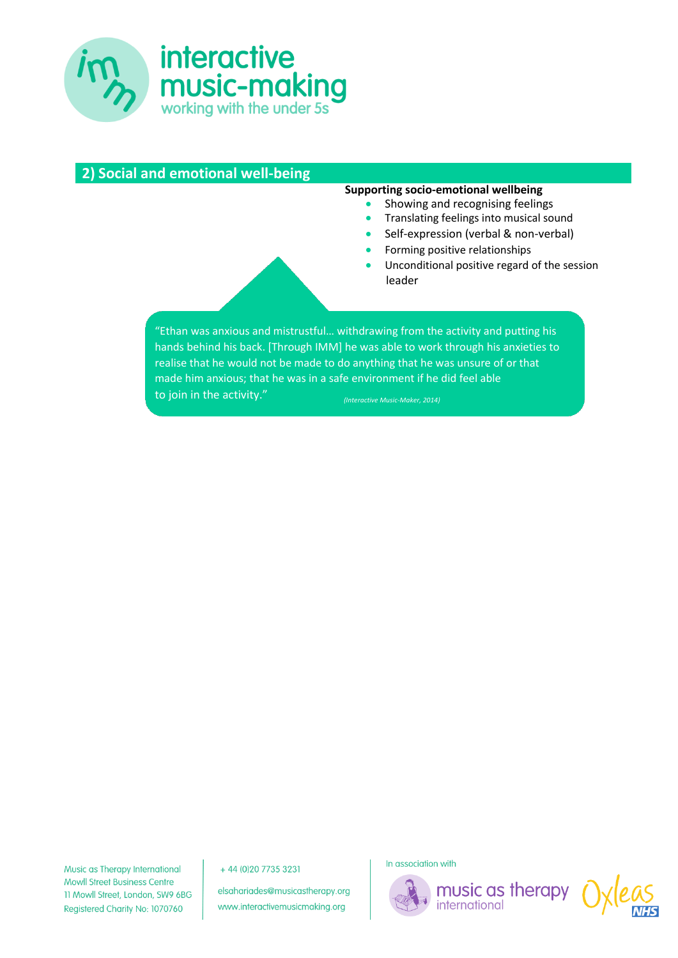

| 2) Social and emotional well-being |                                                                                                                                                                                                                                                                                                                                                                       |
|------------------------------------|-----------------------------------------------------------------------------------------------------------------------------------------------------------------------------------------------------------------------------------------------------------------------------------------------------------------------------------------------------------------------|
|                                    | Supporting socio-emotional wellbeing<br>Showing and recognising feelings<br>Translating feelings into musical sound<br>Self-expression (verbal & non-verbal)<br>Forming positive relationships<br>Unconditional positive regard of the session<br>leader                                                                                                              |
| to join in the activity."          | "Ethan was anxious and mistrustful withdrawing from the activity and putting his<br>hands behind his back. [Through IMM] he was able to work through his anxieties to<br>realise that he would not be made to do anything that he was unsure of or that<br>made him anxious; that he was in a safe environment if he did feel able<br>(Interactive Music-Maker, 2014) |

Music as Therapy International **Mowll Street Business Centre** 11 Mowll Street, London, SW9 6BG Registered Charity No: 1070760

+44 (0) 20 7735 3231

elsahariades@musicastherapy.org www.interactivemusicmaking.org



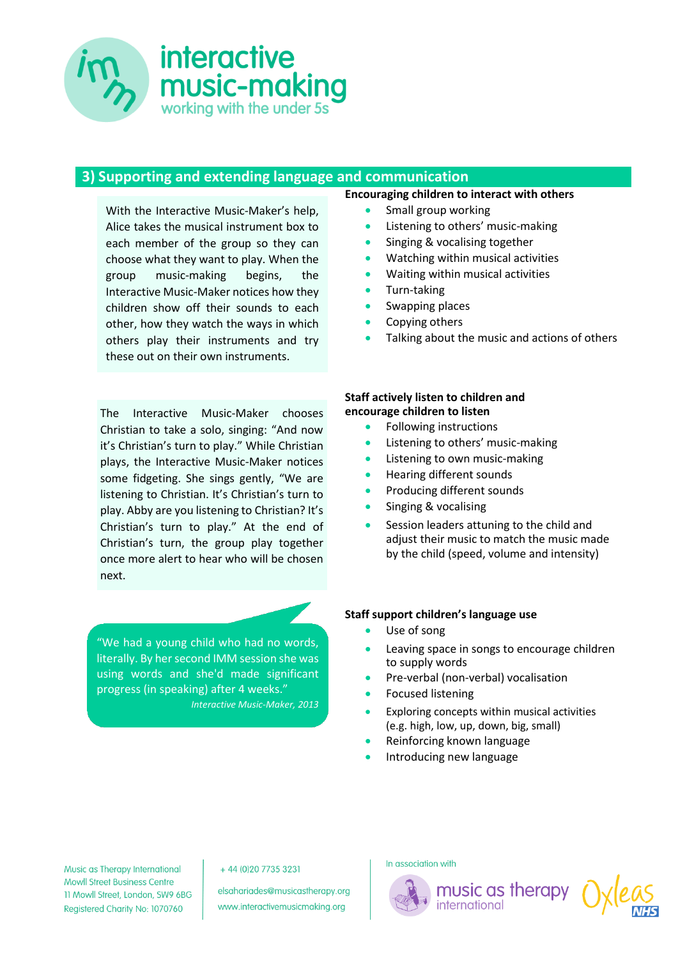

## **3) Supporting and extending language and communication**

With the Interactive Music-Maker's help, Alice takes the musical instrument box to each member of the group so they can choose what they want to play. When the group music-making begins, the Interactive Music-Maker notices how they children show off their sounds to each other, how they watch the ways in which others play their instruments and try these out on their own instruments.

The Interactive Music-Maker chooses Christian to take a solo, singing: "And now it's Christian's turn to play." While Christian plays, the Interactive Music-Maker notices some fidgeting. She sings gently, "We are listening to Christian. It's Christian's turn to play. Abby are you listening to Christian? It's Christian's turn to play." At the end of Christian's turn, the group play together once more alert to hear who will be chosen next.

"We had a young child who had no words, literally. By her second IMM session she was using words and she'd made significant progress (in speaking) after 4 weeks." *Interactive Music-Maker, 2013*

#### **Encouraging children to interact with others**

- Small group working
- Listening to others' music-making
- Singing & vocalising together
- Watching within musical activities
- Waiting within musical activities
- Turn-taking
- Swapping places
- Copying others
- Talking about the music and actions of others

#### **Staff actively listen to children and encourage children to listen**

- Following instructions
- **•** Listening to others' music-making
- Listening to own music-making
- **•** Hearing different sounds
- Producing different sounds
- Singing & vocalising
- Session leaders attuning to the child and adjust their music to match the music made by the child (speed, volume and intensity)

#### **Staff support children's language use**

- Use of song
- Leaving space in songs to encourage children to supply words
- Pre-verbal (non-verbal) vocalisation
- Focused listening
- Exploring concepts within musical activities (e.g. high, low, up, down, big, small)

music as therapy

international

- Reinforcing known language
- Introducing new language

Music as Therapy International **Mowll Street Business Centre** 11 Mowll Street, London, SW9 6BG Registered Charity No: 1070760

+44 (0) 20 7735 3231

elsahariades@musicastherapy.org www.interactivemusicmaking.org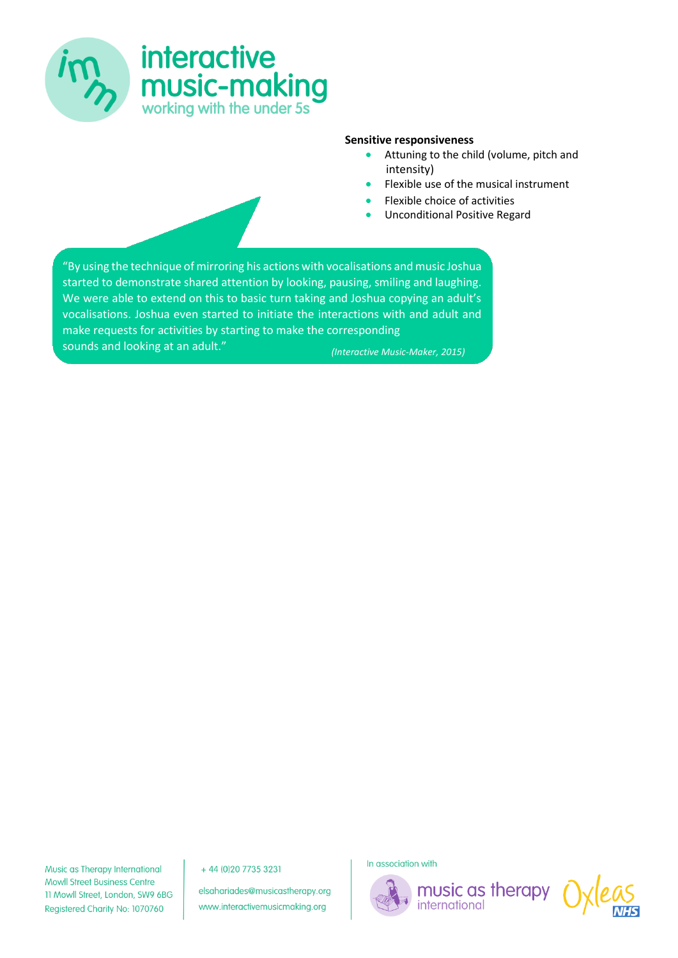

#### **Sensitive responsiveness**

- Attuning to the child (volume, pitch and intensity)
- Flexible use of the musical instrument
- Flexible choice of activities
- Unconditional Positive Regard

"By using the technique of mirroring his actions with vocalisations and music Joshua started to demonstrate shared attention by looking, pausing, smiling and laughing. We were able to extend on this to basic turn taking and Joshua copying an adult's vocalisations. Joshua even started to initiate the interactions with and adult and make requests for activities by starting to make the corresponding sounds and looking at an adult." *(Interactive Music-Maker, 2015)*

Music as Therapy International **Mowll Street Business Centre** 11 Mowll Street, London, SW9 6BG Registered Charity No: 1070760

+44 (0) 20 7735 3231

elsahariades@musicastherapy.org www.interactivemusicmaking.org

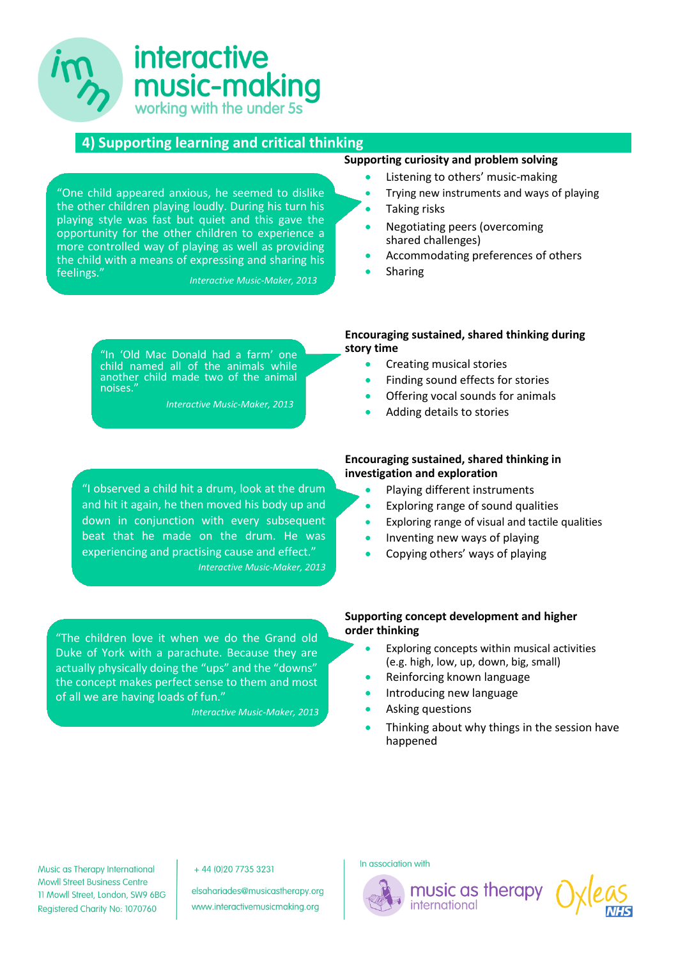# **interactive** music-making working with the under 5s

"One child appeared anxious, he seemed to dislike the other children playing loudly. During his turn his playing style was fast but quiet and this gave the opportunity for the other children to experience a more controlled way of playing as well as providing the child with a means of expressing and sharing his

feelings."

noises."

## **4) Supporting learning and critical thinking**

**Supporting curiosity and problem solving**

- Listening to others' music-making
- Trying new instruments and ways of playing
- Taking risks
- Negotiating peers (overcoming shared challenges)
- Accommodating preferences of others
- Sharing

"In 'Old Mac Donald had a farm' one child named all of the animals while another child made two of the animal

*Interactive Music-Maker, 2013*

*Interactive Music-Maker, 2013*

## "I observed a child hit a drum, look at the drum and hit it again, he then moved his body up and down in conjunction with every subsequent beat that he made on the drum. He was experiencing and practising cause and effect." *Interactive Music-Maker, 2013*

"The children love it when we do the Grand old Duke of York with a parachute. Because they are actually physically doing the "ups" and the "downs" the concept makes perfect sense to them and most of all we are having loads of fun."

*Interactive Music-Maker, 2013*

### **Encouraging sustained, shared thinking during story time**

- **Creating musical stories**
- Finding sound effects for stories
- Offering vocal sounds for animals
- Adding details to stories

## **Encouraging sustained, shared thinking in investigation and exploration**

- Playing different instruments
- Exploring range of sound qualities
- Exploring range of visual and tactile qualities
- Inventing new ways of playing
- Copying others' ways of playing

#### **Supporting concept development and higher order thinking**

- Exploring concepts within musical activities (e.g. high, low, up, down, big, small)
- Reinforcing known language

international

- Introducing new language
- Asking questions
- Thinking about why things in the session have happened

Music as Therapy International **Mowll Street Business Centre** 11 Mowll Street, London, SW9 6BG Registered Charity No: 1070760

#### +44 (0) 20 7735 3231

elsahariades@musicastherapy.org www.interactivemusicmaking.org